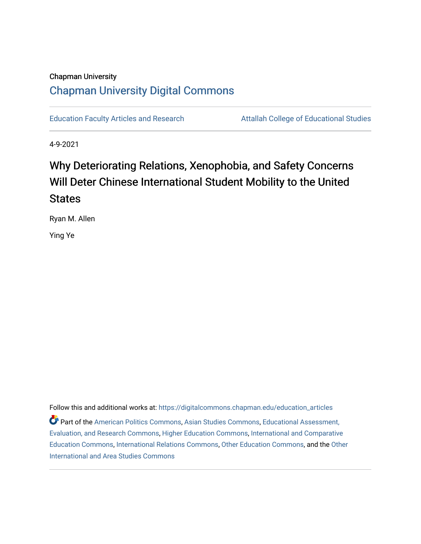# Chapman University [Chapman University Digital Commons](https://digitalcommons.chapman.edu/)

[Education Faculty Articles and Research](https://digitalcommons.chapman.edu/education_articles) **Attallah College of Educational Studies** 

4-9-2021

# Why Deteriorating Relations, Xenophobia, and Safety Concerns Will Deter Chinese International Student Mobility to the United **States**

Ryan M. Allen

Ying Ye

Follow this and additional works at: [https://digitalcommons.chapman.edu/education\\_articles](https://digitalcommons.chapman.edu/education_articles?utm_source=digitalcommons.chapman.edu%2Feducation_articles%2F299&utm_medium=PDF&utm_campaign=PDFCoverPages) Part of the [American Politics Commons,](http://network.bepress.com/hgg/discipline/387?utm_source=digitalcommons.chapman.edu%2Feducation_articles%2F299&utm_medium=PDF&utm_campaign=PDFCoverPages) [Asian Studies Commons,](http://network.bepress.com/hgg/discipline/361?utm_source=digitalcommons.chapman.edu%2Feducation_articles%2F299&utm_medium=PDF&utm_campaign=PDFCoverPages) [Educational Assessment,](http://network.bepress.com/hgg/discipline/796?utm_source=digitalcommons.chapman.edu%2Feducation_articles%2F299&utm_medium=PDF&utm_campaign=PDFCoverPages)  [Evaluation, and Research Commons,](http://network.bepress.com/hgg/discipline/796?utm_source=digitalcommons.chapman.edu%2Feducation_articles%2F299&utm_medium=PDF&utm_campaign=PDFCoverPages) [Higher Education Commons,](http://network.bepress.com/hgg/discipline/1245?utm_source=digitalcommons.chapman.edu%2Feducation_articles%2F299&utm_medium=PDF&utm_campaign=PDFCoverPages) [International and Comparative](http://network.bepress.com/hgg/discipline/797?utm_source=digitalcommons.chapman.edu%2Feducation_articles%2F299&utm_medium=PDF&utm_campaign=PDFCoverPages) [Education Commons,](http://network.bepress.com/hgg/discipline/797?utm_source=digitalcommons.chapman.edu%2Feducation_articles%2F299&utm_medium=PDF&utm_campaign=PDFCoverPages) [International Relations Commons,](http://network.bepress.com/hgg/discipline/389?utm_source=digitalcommons.chapman.edu%2Feducation_articles%2F299&utm_medium=PDF&utm_campaign=PDFCoverPages) [Other Education Commons,](http://network.bepress.com/hgg/discipline/811?utm_source=digitalcommons.chapman.edu%2Feducation_articles%2F299&utm_medium=PDF&utm_campaign=PDFCoverPages) and the [Other](http://network.bepress.com/hgg/discipline/365?utm_source=digitalcommons.chapman.edu%2Feducation_articles%2F299&utm_medium=PDF&utm_campaign=PDFCoverPages) [International and Area Studies Commons](http://network.bepress.com/hgg/discipline/365?utm_source=digitalcommons.chapman.edu%2Feducation_articles%2F299&utm_medium=PDF&utm_campaign=PDFCoverPages)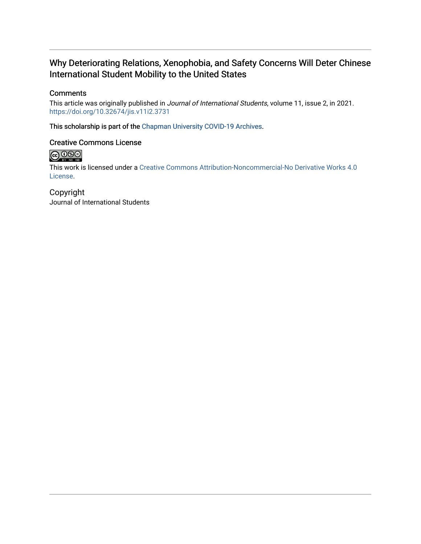### Why Deteriorating Relations, Xenophobia, and Safety Concerns Will Deter Chinese International Student Mobility to the United States

### **Comments**

This article was originally published in Journal of International Students, volume 11, issue 2, in 2021. <https://doi.org/10.32674/jis.v11i2.3731>

This scholarship is part of the [Chapman University COVID-19 Archives](https://digitalcommons.chapman.edu/covid-19_archives/).

### Creative Commons License



This work is licensed under a [Creative Commons Attribution-Noncommercial-No Derivative Works 4.0](https://creativecommons.org/licenses/by-nc-nd/4.0/) [License](https://creativecommons.org/licenses/by-nc-nd/4.0/).

Copyright Journal of International Students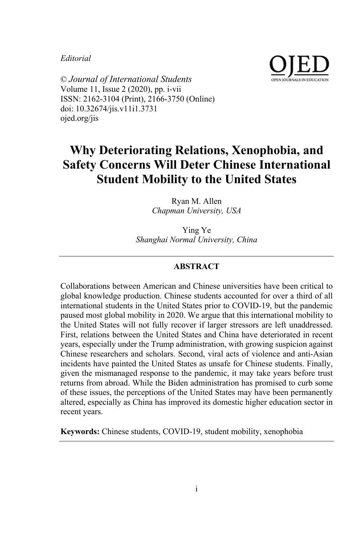#### *Editorial*



© *Journal of International Students* Volume 11, Issue 2 (2020), pp. i-vii ISSN: 2162-3104 (Print), 2166-3750 (Online) doi: 10.32674/jis.v11i1.3731 ojed.org/jis

## **Why Deteriorating Relations, Xenophobia, and Safety Concerns Will Deter Chinese International Student Mobility to the United States**

Ryan M. Allen *Chapman University, USA*

Ying Ye *Shanghai Normal University, China*

#### **ABSTRACT**

Collaborations between American and Chinese universities have been critical to global knowledge production. Chinese students accounted for over a third of all international students in the United States prior to COVID-19, but the pandemic paused most global mobility in 2020. We argue that this international mobility to the United States will not fully recover if larger stressors are left unaddressed. First, relations between the United States and China have deteriorated in recent years, especially under the Trump administration, with growing suspicion against Chinese researchers and scholars. Second, viral acts of violence and anti-Asian incidents have painted the United States as unsafe for Chinese students. Finally, given the mismanaged response to the pandemic, it may take years before trust returns from abroad. While the Biden administration has promised to curb some of these issues, the perceptions of the United States may have been permanently altered, especially as China has improved its domestic higher education sector in recent years.

**Keywords:** Chinese students, COVID-19, student mobility, xenophobia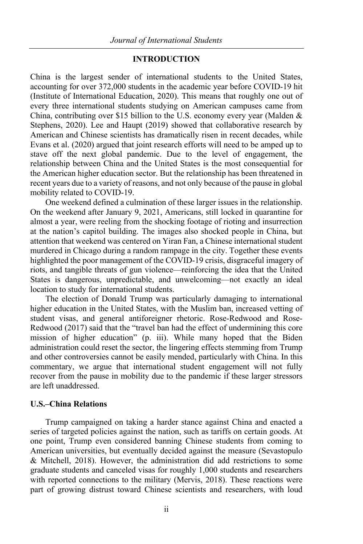#### **INTRODUCTION**

China is the largest sender of international students to the United States, accounting for over 372,000 students in the academic year before COVID-19 hit (Institute of International Education, 2020). This means that roughly one out of every three international students studying on American campuses came from China, contributing over \$15 billion to the U.S. economy every year (Malden & Stephens, 2020). Lee and Haupt (2019) showed that collaborative research by American and Chinese scientists has dramatically risen in recent decades, while Evans et al. (2020) argued that joint research efforts will need to be amped up to stave off the next global pandemic. Due to the level of engagement, the relationship between China and the United States is the most consequential for the American higher education sector. But the relationship has been threatened in recent years due to a variety of reasons, and not only because of the pause in global mobility related to COVID-19.

One weekend defined a culmination of these larger issues in the relationship. On the weekend after January 9, 2021, Americans, still locked in quarantine for almost a year, were reeling from the shocking footage of rioting and insurrection at the nation's capitol building. The images also shocked people in China, but attention that weekend was centered on Yiran Fan, a Chinese international student murdered in Chicago during a random rampage in the city. Together these events highlighted the poor management of the COVID-19 crisis, disgraceful imagery of riots, and tangible threats of gun violence—reinforcing the idea that the United States is dangerous, unpredictable, and unwelcoming—not exactly an ideal location to study for international students.

The election of Donald Trump was particularly damaging to international higher education in the United States, with the Muslim ban, increased vetting of student visas, and general antiforeigner rhetoric. Rose-Redwood and Rose-Redwood (2017) said that the "travel ban had the effect of undermining this core mission of higher education" (p. iii). While many hoped that the Biden administration could reset the sector, the lingering effects stemming from Trump and other controversies cannot be easily mended, particularly with China. In this commentary, we argue that international student engagement will not fully recover from the pause in mobility due to the pandemic if these larger stressors are left unaddressed.

#### **U.S.–China Relations**

Trump campaigned on taking a harder stance against China and enacted a series of targeted policies against the nation, such as tariffs on certain goods. At one point, Trump even considered banning Chinese students from coming to American universities, but eventually decided against the measure (Sevastopulo & Mitchell, 2018). However, the administration did add restrictions to some graduate students and canceled visas for roughly 1,000 students and researchers with reported connections to the military (Mervis, 2018). These reactions were part of growing distrust toward Chinese scientists and researchers, with loud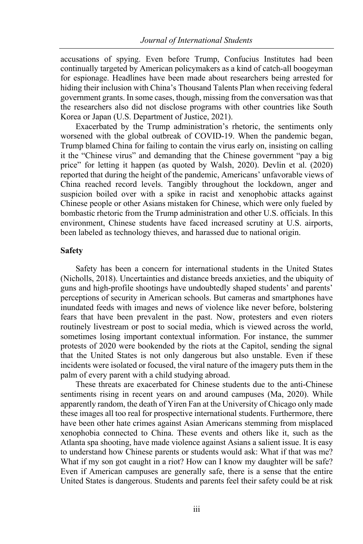accusations of spying. Even before Trump, Confucius Institutes had been continually targeted by American policymakers as a kind of catch-all boogeyman for espionage. Headlines have been made about researchers being arrested for hiding their inclusion with China's Thousand Talents Plan when receiving federal government grants. In some cases, though, missing from the conversation wasthat the researchers also did not disclose programs with other countries like South Korea or Japan (U.S. Department of Justice, 2021).

Exacerbated by the Trump administration's rhetoric, the sentiments only worsened with the global outbreak of COVID-19. When the pandemic began, Trump blamed China for failing to contain the virus early on, insisting on calling it the "Chinese virus" and demanding that the Chinese government "pay a big price" for letting it happen (as quoted by Walsh, 2020). Devlin et al. (2020) reported that during the height of the pandemic, Americans' unfavorable views of China reached record levels. Tangibly throughout the lockdown, anger and suspicion boiled over with a spike in racist and xenophobic attacks against Chinese people or other Asians mistaken for Chinese, which were only fueled by bombastic rhetoric from the Trump administration and other U.S. officials. In this environment, Chinese students have faced increased scrutiny at U.S. airports, been labeled as technology thieves, and harassed due to national origin.

#### **Safety**

Safety has been a concern for international students in the United States (Nicholls, 2018). Uncertainties and distance breeds anxieties, and the ubiquity of guns and high-profile shootings have undoubtedly shaped students' and parents' perceptions of security in American schools. But cameras and smartphones have inundated feeds with images and news of violence like never before, bolstering fears that have been prevalent in the past. Now, protesters and even rioters routinely livestream or post to social media, which is viewed across the world, sometimes losing important contextual information. For instance, the summer protests of 2020 were bookended by the riots at the Capitol, sending the signal that the United States is not only dangerous but also unstable. Even if these incidents were isolated or focused, the viral nature of the imagery puts them in the palm of every parent with a child studying abroad.

These threats are exacerbated for Chinese students due to the anti-Chinese sentiments rising in recent years on and around campuses (Ma, 2020). While apparently random, the death of Yiren Fan at the University of Chicago only made these images all too real for prospective international students. Furthermore, there have been other hate crimes against Asian Americans stemming from misplaced xenophobia connected to China. These events and others like it, such as the Atlanta spa shooting, have made violence against Asians a salient issue. It is easy to understand how Chinese parents or students would ask: What if that was me? What if my son got caught in a riot? How can I know my daughter will be safe? Even if American campuses are generally safe, there is a sense that the entire United States is dangerous. Students and parents feel their safety could be at risk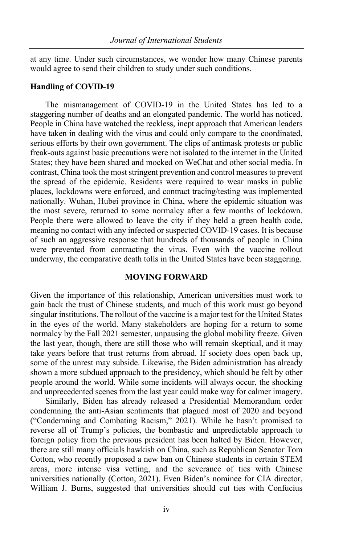at any time. Under such circumstances, we wonder how many Chinese parents would agree to send their children to study under such conditions.

#### **Handling of COVID-19**

The mismanagement of COVID-19 in the United States has led to a staggering number of deaths and an elongated pandemic. The world has noticed. People in China have watched the reckless, inept approach that American leaders have taken in dealing with the virus and could only compare to the coordinated, serious efforts by their own government. The clips of antimask protests or public freak-outs against basic precautions were not isolated to the internet in the United States; they have been shared and mocked on WeChat and other social media. In contrast, China took the most stringent prevention and control measures to prevent the spread of the epidemic. Residents were required to wear masks in public places, lockdowns were enforced, and contract tracing/testing was implemented nationally. Wuhan, Hubei province in China, where the epidemic situation was the most severe, returned to some normalcy after a few months of lockdown. People there were allowed to leave the city if they held a green health code, meaning no contact with any infected or suspected COVID-19 cases. It is because of such an aggressive response that hundreds of thousands of people in China were prevented from contracting the virus. Even with the vaccine rollout underway, the comparative death tolls in the United States have been staggering.

#### **MOVING FORWARD**

Given the importance of this relationship, American universities must work to gain back the trust of Chinese students, and much of this work must go beyond singular institutions. The rollout of the vaccine is a major test for the United States in the eyes of the world. Many stakeholders are hoping for a return to some normalcy by the Fall 2021 semester, unpausing the global mobility freeze. Given the last year, though, there are still those who will remain skeptical, and it may take years before that trust returns from abroad. If society does open back up, some of the unrest may subside. Likewise, the Biden administration has already shown a more subdued approach to the presidency, which should be felt by other people around the world. While some incidents will always occur, the shocking and unprecedented scenes from the last year could make way for calmer imagery.

Similarly, Biden has already released a Presidential Memorandum order condemning the anti-Asian sentiments that plagued most of 2020 and beyond ("Condemning and Combating Racism," 2021). While he hasn't promised to reverse all of Trump's policies, the bombastic and unpredictable approach to foreign policy from the previous president has been halted by Biden. However, there are still many officials hawkish on China, such as Republican Senator Tom Cotton, who recently proposed a new ban on Chinese students in certain STEM areas, more intense visa vetting, and the severance of ties with Chinese universities nationally (Cotton, 2021). Even Biden's nominee for CIA director, William J. Burns, suggested that universities should cut ties with Confucius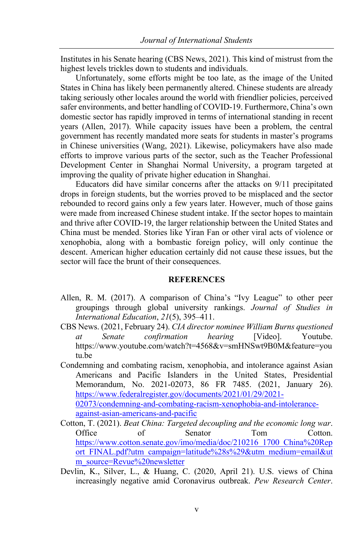Institutes in his Senate hearing (CBS News, 2021). This kind of mistrust from the highest levels trickles down to students and individuals.

Unfortunately, some efforts might be too late, as the image of the United States in China has likely been permanently altered. Chinese students are already taking seriously other locales around the world with friendlier policies, perceived safer environments, and better handling of COVID-19. Furthermore, China's own domestic sector has rapidly improved in terms of international standing in recent years (Allen, 2017). While capacity issues have been a problem, the central government has recently mandated more seats for students in master's programs in Chinese universities (Wang, 2021). Likewise, policymakers have also made efforts to improve various parts of the sector, such as the Teacher Professional Development Center in Shanghai Normal University, a program targeted at improving the quality of private higher education in Shanghai.

Educators did have similar concerns after the attacks on 9/11 precipitated drops in foreign students, but the worries proved to be misplaced and the sector rebounded to record gains only a few years later. However, much of those gains were made from increased Chinese student intake. If the sector hopes to maintain and thrive after COVID-19, the larger relationship between the United States and China must be mended. Stories like Yiran Fan or other viral acts of violence or xenophobia, along with a bombastic foreign policy, will only continue the descent. American higher education certainly did not cause these issues, but the sector will face the brunt of their consequences.

#### **REFERENCES**

- Allen, R. M. (2017). A comparison of China's "Ivy League" to other peer groupings through global university rankings. *Journal of Studies in International Education*, *21*(5), 395–411.
- CBS News. (2021, February 24). *CIA director nominee William Burns questioned at Senate confirmation hearing* [Video]. Youtube. https://www.youtube.com/watch?t=4568&v=smHNSwt9B0M&feature=you tu.be

Condemning and combating racism, xenophobia, and intolerance against Asian Americans and Pacific Islanders in the United States, Presidential Memorandum, No. 2021-02073, 86 FR 7485. (2021, January 26). https://www.federalregister.gov/documents/2021/01/29/2021- 02073/condemning-and-combating-racism-xenophobia-and-intoleranceagainst-asian-americans-and-pacific

- Cotton, T. (2021). *Beat China: Targeted decoupling and the economic long war*. Office of Senator Tom Cotton. https://www.cotton.senate.gov/imo/media/doc/210216\_1700\_China%20Rep ort FINAL.pdf?utm\_campaign=latitude%28s%29&utm\_medium=email&ut m\_source=Revue%20newsletter
- Devlin, K., Silver, L., & Huang, C. (2020, April 21). U.S. views of China increasingly negative amid Coronavirus outbreak. *Pew Research Center*.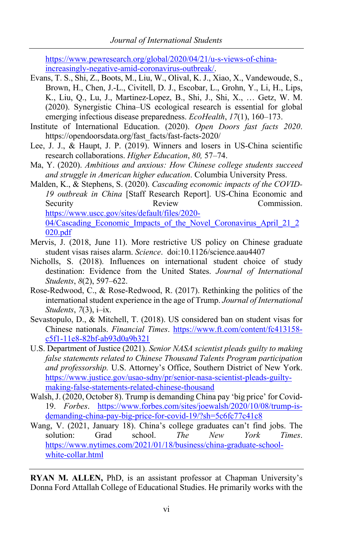https://www.pewresearch.org/global/2020/04/21/u-s-views-of-chinaincreasingly-negative-amid-coronavirus-outbreak/.

- Evans, T. S., Shi, Z., Boots, M., Liu, W., Olival, K. J., Xiao, X., Vandewoude, S., Brown, H., Chen, J.-L., Civitell, D. J., Escobar, L., Grohn, Y., Li, H., Lips, K., Liu, Q., Lu, J., Martinez-Lopez, B., Shi, J., Shi, X., … Getz, W. M. (2020). Synergistic China–US ecological research is essential for global emerging infectious disease preparedness. *EcoHealth*, *17*(1), 160–173.
- Institute of International Education. (2020). *Open Doors fast facts 2020*. https://opendoorsdata.org/fast\_facts/fast-facts-2020/
- Lee, J. J., & Haupt, J. P. (2019). Winners and losers in US-China scientific research collaborations. *Higher Education*, *80,* 57–74.
- Ma, Y. (2020). *Ambitious and anxious: How Chinese college students succeed and struggle in American higher education*. Columbia University Press.
- Malden, K., & Stephens, S. (2020). *Cascading economic impacts of the COVID-19 outbreak in China* [Staff Research Report]. US-China Economic and Security Review Review Commission. https://www.uscc.gov/sites/default/files/2020- 04/Cascading\_Economic\_Impacts\_of\_the\_Novel\_Coronavirus\_April\_21\_2 020.pdf
- Mervis, J. (2018, June 11). More restrictive US policy on Chinese graduate student visas raises alarm. *Science*. doi:10.1126/science.aau4407
- Nicholls, S. (2018). Influences on international student choice of study destination: Evidence from the United States. *Journal of International Students*, *8*(2), 597–622.
- Rose-Redwood, C., & Rose-Redwood, R. (2017). Rethinking the politics of the international student experience in the age of Trump. *Journal of International Students*, *7*(3), i–ix.
- Sevastopulo, D., & Mitchell, T. (2018). US considered ban on student visas for Chinese nationals. *Financial Times*. https://www.ft.com/content/fc413158 c5f1-11e8-82bf-ab93d0a9b321
- U.S. Department of Justice (2021). *Senior NASA scientist pleads guilty to making false statements related to Chinese Thousand Talents Program participation and professorship.* U.S. Attorney's Office, Southern District of New York. https://www.justice.gov/usao-sdny/pr/senior-nasa-scientist-pleads-guiltymaking-false-statements-related-chinese-thousand
- Walsh,J. (2020, October 8). Trump is demanding China pay 'big price' for Covid-19. *Forbes*. https://www.forbes.com/sites/joewalsh/2020/10/08/trump-isdemanding-china-pay-big-price-for-covid-19/?sh=5c6fc77c41c8
- Wang, V. (2021, January 18). China's college graduates can't find jobs. The solution: Grad school. *The New York Times*. https://www.nytimes.com/2021/01/18/business/china-graduate-schoolwhite-collar.html

**RYAN M. ALLEN,** PhD, is an assistant professor at Chapman University's Donna Ford Attallah College of Educational Studies. He primarily works with the